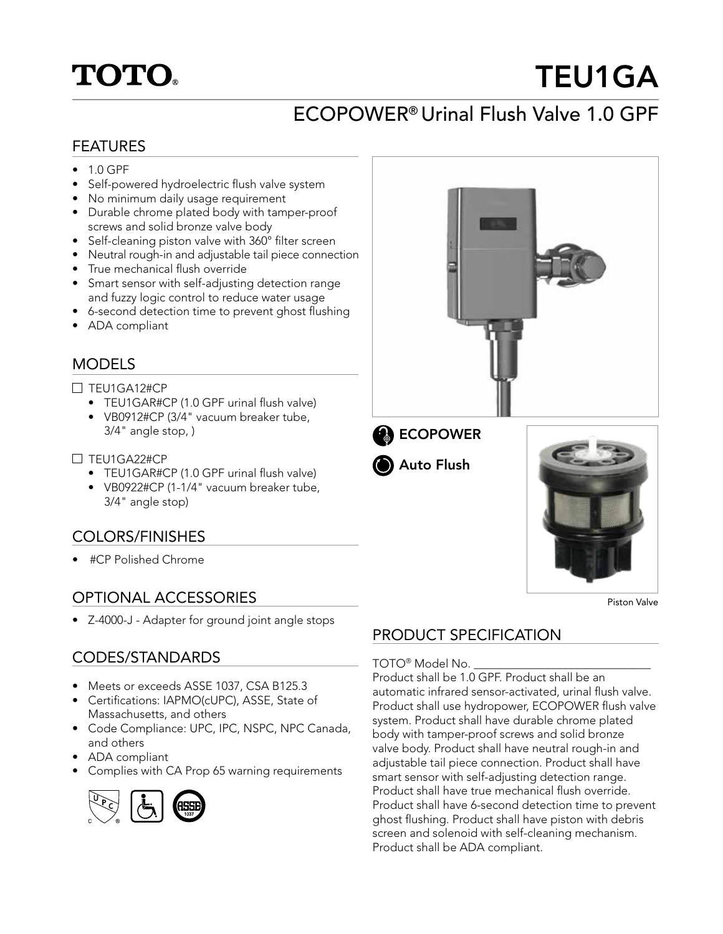# **TOTO**

# TEU1GA

# ECOPOWER® Urinal Flush Valve 1.0 GPF

#### FEATURES

- 1.0 GPF
- Self-powered hydroelectric flush valve system
- No minimum daily usage requirement
- Durable chrome plated body with tamper-proof screws and solid bronze valve body
- Self-cleaning piston valve with 360° filter screen
- Neutral rough-in and adjustable tail piece connection
- True mechanical flush override
- Smart sensor with self-adjusting detection range and fuzzy logic control to reduce water usage
- 6-second detection time to prevent ghost flushing
- ADA compliant

### MODELS

#### $\Box$  TEU1GA12#CP

- TEU1GAR#CP (1.0 GPF urinal flush valve)
- VB0912#CP (3/4" vacuum breaker tube, 3/4" angle stop, )

#### $\Box$  TEU1GA22#CP

- TEU1GAR#CP (1.0 GPF urinal flush valve)
- VB0922#CP (1-1/4" vacuum breaker tube, 3/4" angle stop)

### COLORS/FINISHES

• #CP Polished Chrome

### OPTIONAL ACCESSORIES

• Z-4000-J - Adapter for ground joint angle stops

### CODES/STANDARDS

- Meets or exceeds ASSE 1037, CSA B125.3
- Certifications: IAPMO(cUPC), ASSE, State of Massachusetts, and others
- Code Compliance: UPC, IPC, NSPC, NPC Canada, and others
- ADA compliant
- Complies with CA Prop 65 warning requirements



# PRODUCT SPECIFICATION

#### TOTO<sup>®</sup> Model No.

Product shall be 1.0 GPF. Product shall be an automatic infrared sensor-activated, urinal flush valve. Product shall use hydropower, ECOPOWER flush valve system. Product shall have durable chrome plated body with tamper-proof screws and solid bronze valve body. Product shall have neutral rough-in and adjustable tail piece connection. Product shall have smart sensor with self-adjusting detection range. Product shall have true mechanical flush override. Product shall have 6-second detection time to prevent ghost flushing. Product shall have piston with debris screen and solenoid with self-cleaning mechanism. Product shall be ADA compliant.







Piston Valve